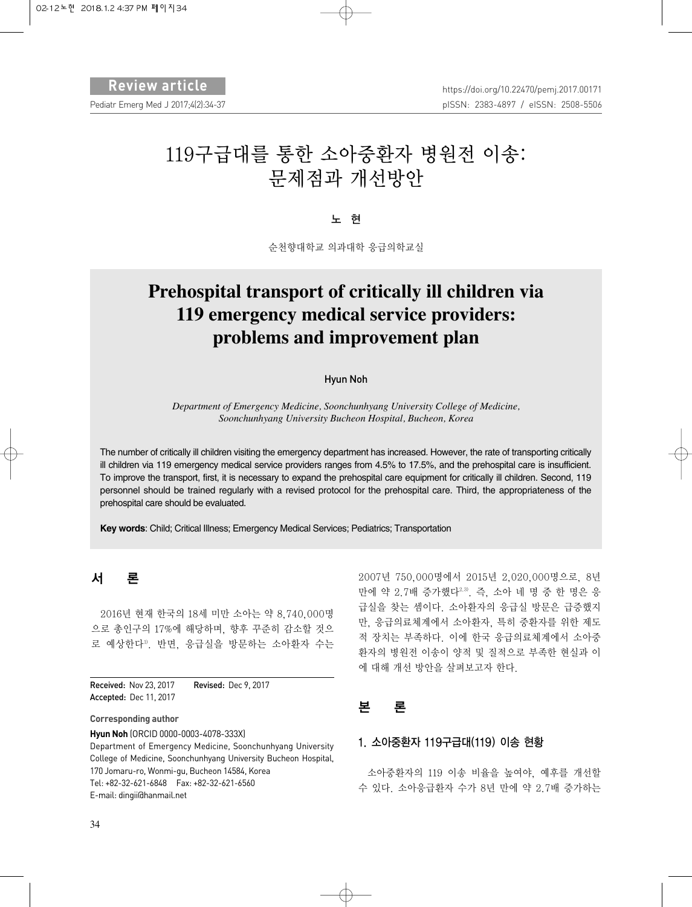# 119구급대를 통한 소아중환자 병원전 이송: 문제점과 개선방안

노 현

순천향대학교 의과대학 응급의학교실

# **Prehospital transport of critically ill children via 119 emergency medical service providers: problems and improvement plan**

#### Hyun Noh

*Department of Emergency Medicine, Soonchunhyang University College of Medicine, Soonchunhyang University Bucheon Hospital, Bucheon, Korea*

The number of critically ill children visiting the emergency department has increased. However, the rate of transporting critically ill children via 119 emergency medical service providers ranges from 4.5% to 17.5%, and the prehospital care is insufficient. To improve the transport, first, it is necessary to expand the prehospital care equipment for critically ill children. Second, 119 personnel should be trained regularly with a revised protocol for the prehospital care. Third, the appropriateness of the prehospital care should be evaluated.

**Key words**: Child; Critical Illness; Emergency Medical Services; Pediatrics; Transportation

## 서 론

2016년 현재 한국의 18세 미만 소아는 약 8,740,000명 으로 총인구의 17%에 해당하며, 향후 꾸준히 감소할 것으 로 예상한다1). 반면, 응급실을 방문하는 소아환자 수는

Received: Nov 23, 2017 Revised: Dec 9, 2017 Accepted: Dec 11, 2017

**Corresponding author**

**Hyun Noh** (ORCID 0000-0003-4078-333X) Department of Emergency Medicine, Soonchunhyang University College of Medicine, Soonchunhyang University Bucheon Hospital, 170 Jomaru-ro, Wonmi-gu, Bucheon 14584, Korea Tel: +82-32-621-6848 Fax: +82-32-621-6560 E-mail: dingii@hanmail.net

2007년 750,000명에서 2015년 2,020,000명으로, 8년 만에 약 2.7배 증가했다2,3). 즉, 소아 네 명 중 한 명은 응 급실을 찾는 셈이다. 소아환자의 응급실 방문은 급증했지 만, 응급의료체계에서 소아환자, 특히 중환자를 위한 제도 적 장치는 부족하다. 이에 한국 응급의료체계에서 소아중 환자의 병원전 이송이 양적 및 질적으로 부족한 현실과 이 에 대해 개선 방안을 살펴보고자 한다.

## 본 론

#### 1. 소아중환자 119구급대(119) 이송 현황

소아중환자의 119 이송 비율을 높여야, 예후를 개선할 수 있다. 소아응급환자 수가 8년 만에 약 2.7배 증가하는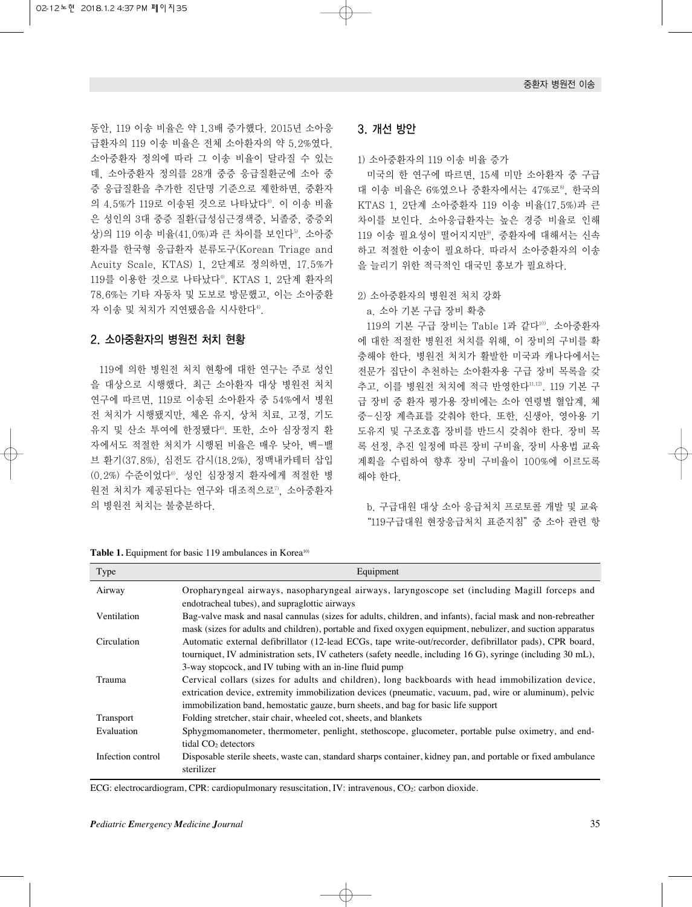동안, 119 이송 비율은 약 1.3배 증가했다. 2015년 소아응 급환자의 119 이송 비율은 전체 소아환자의 약 5.2%였다. 소아중환자 정의에 따라 그 이송 비율이 달라질 수 있는 데, 소아중환자 정의를 28개 중증 응급질환군에 소아 중 증 응급질환을 추가한 진단명 기준으로 제한하면, 중환자 의 4.5%가 119로 이송된 것으로 나타났다<sup>4)</sup>. 이 이송 비율 은 성인의 3대 중증 질환(급성심근경색증, 뇌졸중, 중증외 상)의 119 이송 비율(41.0%)과 큰 차이를 보인다5). 소아중 환자를 한국형 응급환자 분류도구(Korean Triage and Acuity Scale, KTAS) 1, 2단계로 정의하면, 17.5%가 119를 이용한 것으로 나타났다<sup>4)</sup>. KTAS 1, 2단계 환자의 78.6%는 기타 자동차 및 도보로 방문했고, 이는 소아중환 자 이송 및 처치가 지연됐음을 시사한다4).

#### 2. 소아중환자의 병원전 처치 현황

119에 의한 병원전 처치 현황에 대한 연구는 주로 성인 을 대상으로 시행했다. 최근 소아환자 대상 병원전 처치 연구에 따르면, 119로 이송된 소아환자 중 54%에서 병원 전 처치가 시행됐지만, 체온 유지, 상처 치료, 고정, 기도 유지 및 산소 투여에 한정됐다6). 또한, 소아 심장정지 환 자에서도 적절한 처치가 시행된 비율은 매우 낮아, 백-밸 브 환기(37.8%), 심전도 감시(18.2%), 정맥내카테터 삽입 (0.2%) 수준이었다6). 성인 심장정지 환자에게 적절한 병 원전 처치가 제공된다는 연구와 대조적으로", 소아중환자 의 병원전 처치는 불충분하다.

**Table 1.** Equipment for basic 119 ambulances in Korea<sup>10)</sup>

| Type              | Equipment                                                                                                                                                                                                                                                                                           |
|-------------------|-----------------------------------------------------------------------------------------------------------------------------------------------------------------------------------------------------------------------------------------------------------------------------------------------------|
| Airway            | Oropharyngeal airways, nasopharyngeal airways, laryngoscope set (including Magill forceps and<br>endotracheal tubes), and supraglottic airways                                                                                                                                                      |
| Ventilation       | Bag-valve mask and nasal cannulas (sizes for adults, children, and infants), facial mask and non-rebreather<br>mask (sizes for adults and children), portable and fixed oxygen equipment, nebulizer, and suction apparatus                                                                          |
| Circulation       | Automatic external defibrillator (12-lead ECGs, tape write-out/recorder, defibrillator pads), CPR board,<br>tourniquet, IV administration sets, IV catheters (safety needle, including 16 G), syringe (including 30 mL),<br>3-way stopcock, and IV tubing with an in-line fluid pump                |
| Trauma            | Cervical collars (sizes for adults and children), long backboards with head immobilization device,<br>extrication device, extremity immobilization devices (pneumatic, vacuum, pad, wire or aluminum), pelvic<br>immobilization band, hemostatic gauze, burn sheets, and bag for basic life support |
| <b>Transport</b>  | Folding stretcher, stair chair, wheeled cot, sheets, and blankets                                                                                                                                                                                                                                   |
| Evaluation        | Sphygmomanometer, thermometer, penlight, stethoscope, glucometer, portable pulse oximetry, and end-<br>tidal $CO2$ detectors                                                                                                                                                                        |
| Infection control | Disposable sterile sheets, waste can, standard sharps container, kidney pan, and portable or fixed ambulance<br>sterilizer                                                                                                                                                                          |

ECG: electrocardiogram, CPR: cardiopulmonary resuscitation, IV: intravenous, CO<sub>2</sub>: carbon dioxide.

#### 3. 개선 방안

1) 소아중환자의 119 이송 비율 증가

미국의 한 연구에 따르면, 15세 미만 소아환자 중 구급 대 이송 비율은 6%였으나 중환자에서는 47%로<sup>8</sup>, 한국의 KTAS 1, 2단계 소아중환자 119 이송 비율(17.5%)과 큰 차이를 보인다. 소아응급환자는 높은 경증 비율로 인해 119 이송 필요성이 떨어지지만9), 중환자에 대해서는 신속 하고 적절한 이송이 필요하다. 따라서 소아중환자의 이송 을 늘리기 위한 적극적인 대국민 홍보가 필요하다.

2) 소아중환자의 병원전 처치 강화

a. 소아 기본 구급 장비 확충

119의 기본 구급 장비는 Table 1과 같다<sup>10)</sup>. 소아중환자 에 대한 적절한 병원전 처치를 위해, 이 장비의 구비를 확 충해야 한다. 병원전 처치가 활발한 미국과 캐나다에서는 전문가 집단이 추천하는 소아환자용 구급 장비 목록을 갖 추고, 이를 병원전 처치에 적극 반영한다11,12). 119 기본 구 급 장비 중 환자 평가용 장비에는 소아 연령별 혈압계, 체 중-신장 계측표를 갖춰야 한다. 또한, 신생아, 영아용 기 도유지 및 구조호흡 장비를 반드시 갖춰야 한다. 장비 목 록 선정, 추진 일정에 따른 장비 구비율, 장비 사용법 교육 계획을 수립하여 향후 장비 구비율이 100%에 이르도록 해야 한다.

b. 구급대원 대상 소아 응급처치 프로토콜 개발 및 교육 "119구급대원 현장응급처치 표준지침"중 소아 관련 항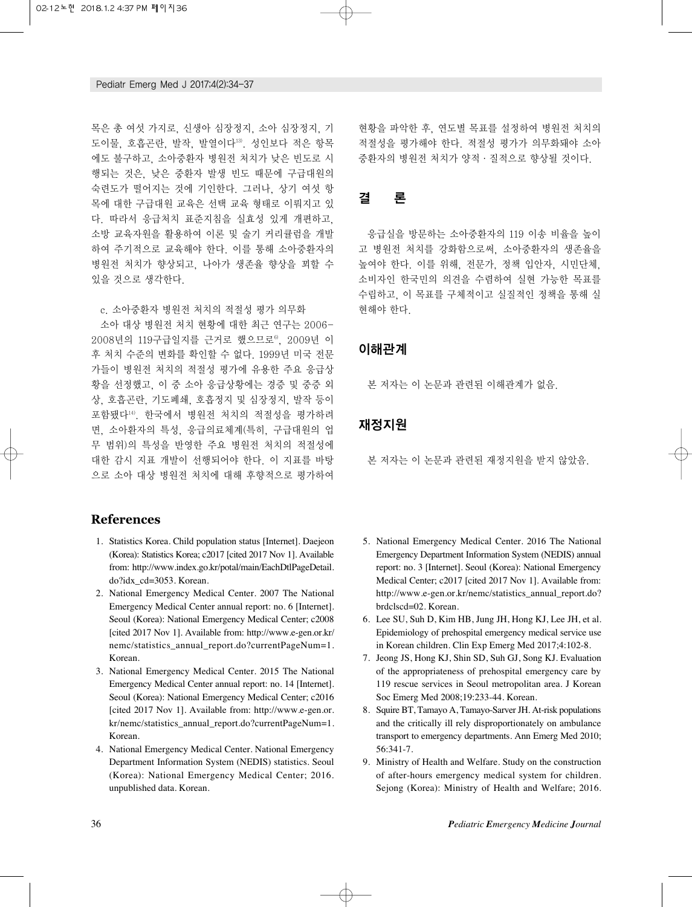목은 총 여섯 가지로, 신생아 심장정지, 소아 심장정지, 기 도이물, 호흡곤란, 발작, 발열이다13). 성인보다 적은 항목 에도 불구하고, 소아중환자 병원전 처치가 낮은 빈도로 시 행되는 것은, 낮은 중환자 발생 빈도 때문에 구급대원의 숙련도가 떨어지는 것에 기인한다. 그러나, 상기 여섯 항 목에 대한 구급대원 교육은 선택 교육 형태로 이뤄지고 있 다. 따라서 응급처치 표준지침을 실효성 있게 개편하고, 소방 교육자원을 활용하여 이론 및 술기 커리큘럼을 개발 하여 주기적으로 교육해야 한다. 이를 통해 소아중환자의 병원전 처치가 향상되고, 나아가 생존율 향상을 꾀할 수 있을 것으로 생각한다.

c. 소아중환자 병원전 처치의 적절성 평가 의무화

소아 대상 병원전 처치 현황에 대한 최근 연구는 2006- 2008년의 119구급일지를 근거로 했으므로6), 2009년 이 후 처치 수준의 변화를 확인할 수 없다. 1999년 미국 전문 가들이 병원전 처치의 적절성 평가에 유용한 주요 응급상 황을 선정했고, 이 중 소아 응급상황에는 경증 및 중증 외 상, 호흡곤란, 기도폐쇄, 호흡정지 및 심장정지, 발작 등이 포함됐다14). 한국에서 병원전 처치의 적절성을 평가하려 면, 소아환자의 특성, 응급의료체계(특히, 구급대원의 업 무 범위)의 특성을 반영한 주요 병원전 처치의 적절성에 대한 감시 지표 개발이 선행되어야 한다. 이 지표를 바탕 으로 소아 대상 병원전 처치에 대해 후향적으로 평가하여

**References**

- 01. Statistics Korea. Child population status [Internet]. Daejeon (Korea): Statistics Korea; c2017 [cited 2017 Nov 1]. Available from: http://www.index.go.kr/potal/main/EachDtlPageDetail. do?idx\_cd=3053. Korean.
- 2. National Emergency Medical Center. 2007 The National Emergency Medical Center annual report: no. 6 [Internet]. Seoul (Korea): National Emergency Medical Center; c2008 [cited 2017 Nov 1]. Available from: http://www.e-gen.or.kr/ nemc/statistics\_annual\_report.do?currentPageNum=1. Korean.
- 03. National Emergency Medical Center. 2015 The National Emergency Medical Center annual report: no. 14 [Internet]. Seoul (Korea): National Emergency Medical Center; c2016 [cited 2017 Nov 1]. Available from: http://www.e-gen.or. kr/nemc/statistics\_annual\_report.do?currentPageNum=1. Korean.
- 4. National Emergency Medical Center. National Emergency Department Information System (NEDIS) statistics. Seoul (Korea): National Emergency Medical Center; 2016. unpublished data. Korean.

현황을 파악한 후, 연도별 목표를 설정하여 병원전 처치의 적절성을 평가해야 한다. 적절성 평가가 의무화돼야 소아 중환자의 병원전 처치가 양적·질적으로 향상될 것이다.

## 결 론

응급실을 방문하는 소아중환자의 119 이송 비율을 높이 고 병원전 처치를 강화함으로써, 소아중환자의 생존율을 높여야 한다. 이를 위해, 전문가, 정책 입안자, 시민단체, 소비자인 한국민의 의견을 수렴하여 실현 가능한 목표를 수립하고, 이 목표를 구체적이고 실질적인 정책을 통해 실 현해야 한다.

### 이해관계

본 저자는 이 논문과 관련된 이해관계가 없음.

### 재정지원

본 저자는 이 논문과 관련된 재정지원을 받지 않았음.

- 5. National Emergency Medical Center. 2016 The National Emergency Department Information System (NEDIS) annual report: no. 3 [Internet]. Seoul (Korea): National Emergency Medical Center; c2017 [cited 2017 Nov 1]. Available from: http://www.e-gen.or.kr/nemc/statistics\_annual\_report.do? brdclscd=02. Korean.
- 06. Lee SU, Suh D, Kim HB, Jung JH, Hong KJ, Lee JH, et al. Epidemiology of prehospital emergency medical service use in Korean children. Clin Exp Emerg Med 2017;4:102-8.
- 07. Jeong JS, Hong KJ, Shin SD, Suh GJ, Song KJ. Evaluation of the appropriateness of prehospital emergency care by 119 rescue services in Seoul metropolitan area. J Korean Soc Emerg Med 2008;19:233-44. Korean.
- 08. Squire BT, Tamayo A, Tamayo-Sarver JH. At-risk populations and the critically ill rely disproportionately on ambulance transport to emergency departments. Ann Emerg Med 2010; 56:341-7.
- 09. Ministry of Health and Welfare. Study on the construction of after-hours emergency medical system for children. Sejong (Korea): Ministry of Health and Welfare; 2016.